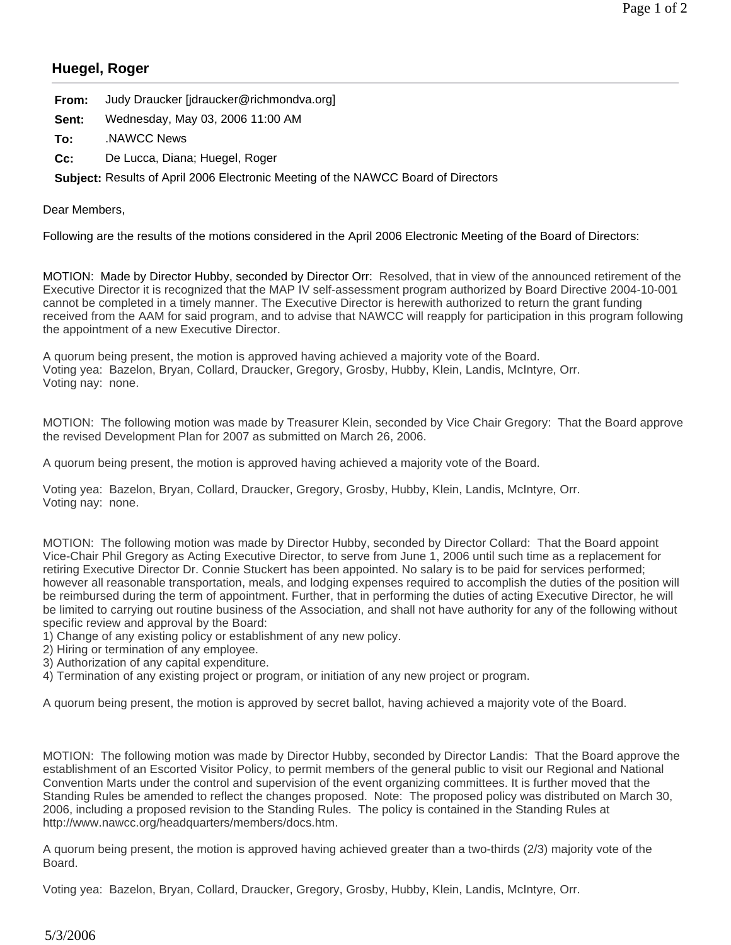## **Huegel, Roger**

| From: | Judy Draucker [jdraucker@richmondva.org] |
|-------|------------------------------------------|
| Sent: | Wednesday, May 03, 2006 11:00 AM         |
| To:   | NAWCC News.                              |
| Cc:   | De Lucca, Diana; Huegel, Roger           |

**Subject:** Results of April 2006 Electronic Meeting of the NAWCC Board of Directors

Dear Members,

Following are the results of the motions considered in the April 2006 Electronic Meeting of the Board of Directors:

MOTION: Made by Director Hubby, seconded by Director Orr: Resolved, that in view of the announced retirement of the Executive Director it is recognized that the MAP IV self-assessment program authorized by Board Directive 2004-10-001 cannot be completed in a timely manner. The Executive Director is herewith authorized to return the grant funding received from the AAM for said program, and to advise that NAWCC will reapply for participation in this program following the appointment of a new Executive Director.

A quorum being present, the motion is approved having achieved a majority vote of the Board. Voting yea: Bazelon, Bryan, Collard, Draucker, Gregory, Grosby, Hubby, Klein, Landis, McIntyre, Orr. Voting nay: none.

MOTION: The following motion was made by Treasurer Klein, seconded by Vice Chair Gregory: That the Board approve the revised Development Plan for 2007 as submitted on March 26, 2006.

A quorum being present, the motion is approved having achieved a majority vote of the Board.

Voting yea: Bazelon, Bryan, Collard, Draucker, Gregory, Grosby, Hubby, Klein, Landis, McIntyre, Orr. Voting nay: none.

MOTION: The following motion was made by Director Hubby, seconded by Director Collard: That the Board appoint Vice-Chair Phil Gregory as Acting Executive Director, to serve from June 1, 2006 until such time as a replacement for retiring Executive Director Dr. Connie Stuckert has been appointed. No salary is to be paid for services performed; however all reasonable transportation, meals, and lodging expenses required to accomplish the duties of the position will be reimbursed during the term of appointment. Further, that in performing the duties of acting Executive Director, he will be limited to carrying out routine business of the Association, and shall not have authority for any of the following without specific review and approval by the Board:

1) Change of any existing policy or establishment of any new policy.

2) Hiring or termination of any employee.

3) Authorization of any capital expenditure.

4) Termination of any existing project or program, or initiation of any new project or program.

A quorum being present, the motion is approved by secret ballot, having achieved a majority vote of the Board.

MOTION: The following motion was made by Director Hubby, seconded by Director Landis: That the Board approve the establishment of an Escorted Visitor Policy, to permit members of the general public to visit our Regional and National Convention Marts under the control and supervision of the event organizing committees. It is further moved that the Standing Rules be amended to reflect the changes proposed. Note: The proposed policy was distributed on March 30, 2006, including a proposed revision to the Standing Rules. The policy is contained in the Standing Rules at http://www.nawcc.org/headquarters/members/docs.htm.

A quorum being present, the motion is approved having achieved greater than a two-thirds (2/3) majority vote of the Board.

Voting yea: Bazelon, Bryan, Collard, Draucker, Gregory, Grosby, Hubby, Klein, Landis, McIntyre, Orr.